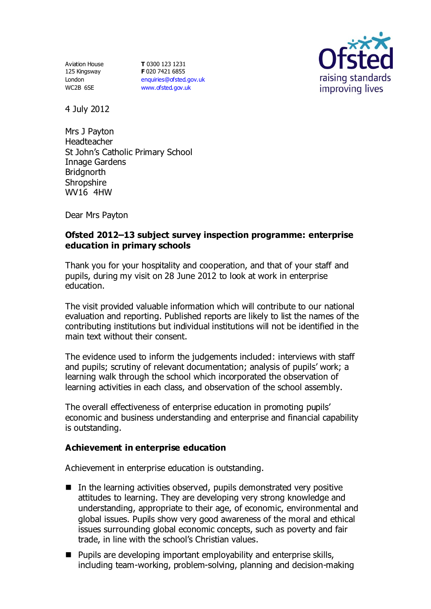Aviation House 125 Kingsway London WC2B 6SE

**T** 0300 123 1231 **F** 020 7421 6855 [enquiries@ofsted.gov.uk](mailto:enquiries@ofsted.gov.uk) [www.ofsted.gov.uk](http://www.ofsted.gov.uk/)



4 July 2012

Mrs J Payton Headteacher St John's Catholic Primary School Innage Gardens **Bridgnorth Shropshire** WV16 4HW

Dear Mrs Payton

## **Ofsted 2012–13 subject survey inspection programme: enterprise education in primary schools**

Thank you for your hospitality and cooperation, and that of your staff and pupils, during my visit on 28 June 2012 to look at work in enterprise education.

The visit provided valuable information which will contribute to our national evaluation and reporting. Published reports are likely to list the names of the contributing institutions but individual institutions will not be identified in the main text without their consent.

The evidence used to inform the judgements included: interviews with staff and pupils; scrutiny of relevant documentation; analysis of pupils' work; a learning walk through the school which incorporated the observation of learning activities in each class, and observation of the school assembly.

The overall effectiveness of enterprise education in promoting pupils' economic and business understanding and enterprise and financial capability is outstanding.

#### **Achievement in enterprise education**

Achievement in enterprise education is outstanding.

- $\blacksquare$  In the learning activities observed, pupils demonstrated very positive attitudes to learning. They are developing very strong knowledge and understanding, appropriate to their age, of economic, environmental and global issues. Pupils show very good awareness of the moral and ethical issues surrounding global economic concepts, such as poverty and fair trade, in line with the school's Christian values.
- **Pupils are developing important employability and enterprise skills,** including team-working, problem-solving, planning and decision-making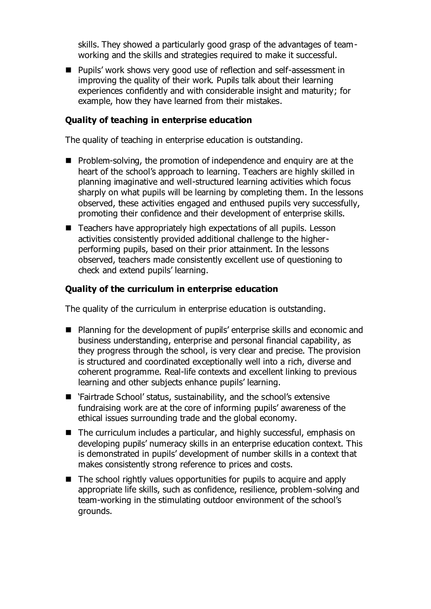skills. They showed a particularly good grasp of the advantages of teamworking and the skills and strategies required to make it successful.

■ Pupils' work shows very good use of reflection and self-assessment in improving the quality of their work. Pupils talk about their learning experiences confidently and with considerable insight and maturity; for example, how they have learned from their mistakes.

#### **Quality of teaching in enterprise education**

The quality of teaching in enterprise education is outstanding.

- $\blacksquare$  Problem-solving, the promotion of independence and enquiry are at the heart of the school's approach to learning. Teachers are highly skilled in planning imaginative and well-structured learning activities which focus sharply on what pupils will be learning by completing them. In the lessons observed, these activities engaged and enthused pupils very successfully, promoting their confidence and their development of enterprise skills.
- Teachers have appropriately high expectations of all pupils. Lesson activities consistently provided additional challenge to the higherperforming pupils, based on their prior attainment. In the lessons observed, teachers made consistently excellent use of questioning to check and extend pupils' learning.

#### **Quality of the curriculum in enterprise education**

The quality of the curriculum in enterprise education is outstanding.

- Planning for the development of pupils' enterprise skills and economic and business understanding, enterprise and personal financial capability, as they progress through the school, is very clear and precise. The provision is structured and coordinated exceptionally well into a rich, diverse and coherent programme. Real-life contexts and excellent linking to previous learning and other subjects enhance pupils' learning.
- `Fairtrade School' status, sustainability, and the school's extensive fundraising work are at the core of informing pupils' awareness of the ethical issues surrounding trade and the global economy.
- The curriculum includes a particular, and highly successful, emphasis on developing pupils' numeracy skills in an enterprise education context. This is demonstrated in pupils' development of number skills in a context that makes consistently strong reference to prices and costs.
- $\blacksquare$  The school rightly values opportunities for pupils to acquire and apply appropriate life skills, such as confidence, resilience, problem-solving and team-working in the stimulating outdoor environment of the school's grounds.